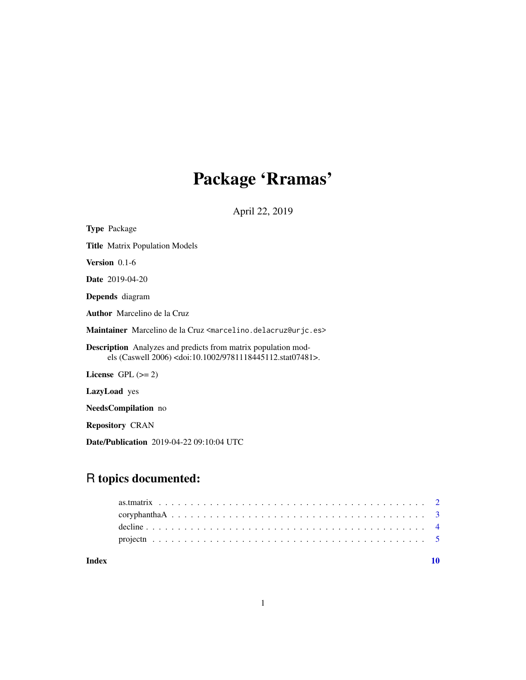# Package 'Rramas'

April 22, 2019

<span id="page-0-0"></span>

| <b>Type Package</b>                                                                                                                                |
|----------------------------------------------------------------------------------------------------------------------------------------------------|
| <b>Title</b> Matrix Population Models                                                                                                              |
| Version $0.1-6$                                                                                                                                    |
| <b>Date</b> 2019-04-20                                                                                                                             |
| <b>Depends</b> diagram                                                                                                                             |
| <b>Author</b> Marcelino de la Cruz                                                                                                                 |
| Maintainer Marcelino de la Cruz <marcelino.delacruz@urjc.es></marcelino.delacruz@urjc.es>                                                          |
| <b>Description</b> Analyzes and predicts from matrix population mod-<br>els (Caswell 2006) <doi:10.1002 9781118445112.stat07481="">.</doi:10.1002> |
| License $GPL (= 2)$                                                                                                                                |
| <b>LazyLoad</b> yes                                                                                                                                |
| NeedsCompilation no                                                                                                                                |
| <b>Repository CRAN</b>                                                                                                                             |
| <b>Date/Publication</b> 2019-04-22 09:10:04 UTC                                                                                                    |

# R topics documented:

# $\blacksquare$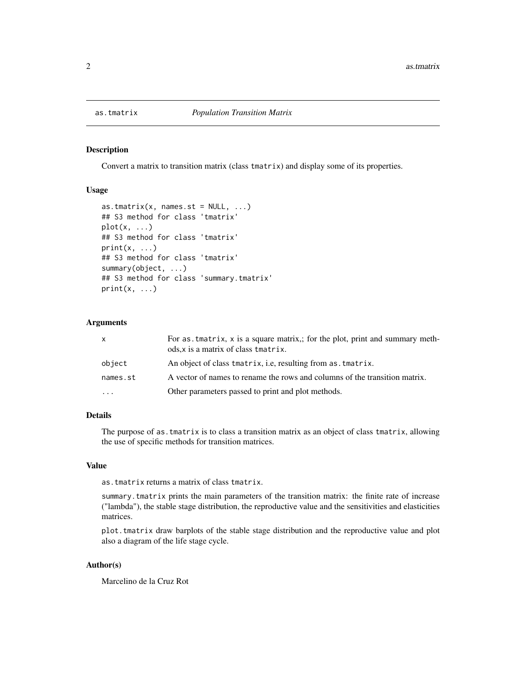<span id="page-1-0"></span>

#### Description

Convert a matrix to transition matrix (class tmatrix) and display some of its properties.

# Usage

```
as.tmatrix(x, names.st = NULL, ...)## S3 method for class 'tmatrix'
plot(x, \ldots)## S3 method for class 'tmatrix'
print(x, \ldots)## S3 method for class 'tmatrix'
summary(object, ...)
## S3 method for class 'summary.tmatrix'
print(x, \ldots)
```
# Arguments

| $\mathsf{x}$            | For as tmatrix, x is a square matrix,; for the plot, print and summary meth-<br>ods, x is a matrix of class tmatrix. |
|-------------------------|----------------------------------------------------------------------------------------------------------------------|
| object                  | An object of class tmatrix, i.e, resulting from as tmatrix.                                                          |
| names.st                | A vector of names to rename the rows and columns of the transition matrix.                                           |
| $\cdot$ $\cdot$ $\cdot$ | Other parameters passed to print and plot methods.                                                                   |

# Details

The purpose of as.tmatrix is to class a transition matrix as an object of class tmatrix, allowing the use of specific methods for transition matrices.

#### Value

as.tmatrix returns a matrix of class tmatrix.

summary.tmatrix prints the main parameters of the transition matrix: the finite rate of increase ("lambda"), the stable stage distribution, the reproductive value and the sensitivities and elasticities matrices.

plot.tmatrix draw barplots of the stable stage distribution and the reproductive value and plot also a diagram of the life stage cycle.

# Author(s)

Marcelino de la Cruz Rot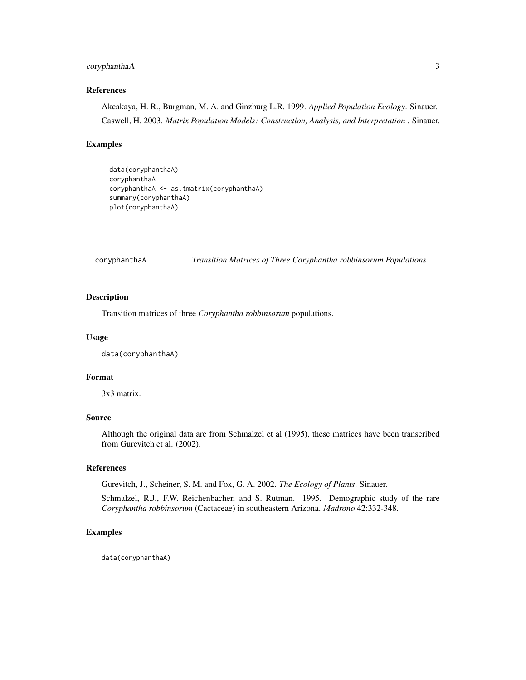# <span id="page-2-0"></span>coryphanthaA 3

# References

Akcakaya, H. R., Burgman, M. A. and Ginzburg L.R. 1999. *Applied Population Ecology*. Sinauer. Caswell, H. 2003. *Matrix Population Models: Construction, Analysis, and Interpretation* . Sinauer.

# Examples

```
data(coryphanthaA)
coryphanthaA
coryphanthaA <- as.tmatrix(coryphanthaA)
summary(coryphanthaA)
plot(coryphanthaA)
```
#### coryphanthaA *Transition Matrices of Three Coryphantha robbinsorum Populations*

# Description

Transition matrices of three *Coryphantha robbinsorum* populations.

#### Usage

data(coryphanthaA)

# Format

3x3 matrix.

# Source

Although the original data are from Schmalzel et al (1995), these matrices have been transcribed from Gurevitch et al. (2002).

# References

Gurevitch, J., Scheiner, S. M. and Fox, G. A. 2002. *The Ecology of Plants*. Sinauer.

Schmalzel, R.J., F.W. Reichenbacher, and S. Rutman. 1995. Demographic study of the rare *Coryphantha robbinsorum* (Cactaceae) in southeastern Arizona. *Madrono* 42:332-348.

# Examples

data(coryphanthaA)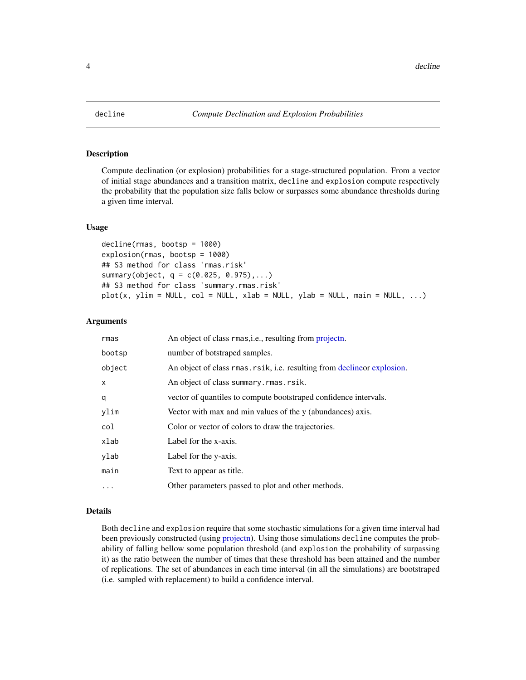<span id="page-3-1"></span><span id="page-3-0"></span>

#### <span id="page-3-2"></span>Description

Compute declination (or explosion) probabilities for a stage-structured population. From a vector of initial stage abundances and a transition matrix, decline and explosion compute respectively the probability that the population size falls below or surpasses some abundance thresholds during a given time interval.

# Usage

```
decline(rmas, bootsp = 1000)
explosion(rmas, bootsp = 1000)
## S3 method for class 'rmas.risk'
summary(object, q = c(0.025, 0.975), \ldots)## S3 method for class 'summary.rmas.risk'
plot(x, ylim = NULL, col = NULL, xlab = NULL, ylab = NULL, main = NULL, ...)
```
#### Arguments

| rmas         | An object of class rmas, i.e., resulting from projectn.                  |
|--------------|--------------------------------------------------------------------------|
| bootsp       | number of botstraped samples.                                            |
| object       | An object of class rmas. rsik, i.e. resulting from decline or explosion. |
| $\mathsf{x}$ | An object of class summary.rmas.rsik.                                    |
| q            | vector of quantiles to compute bootstraped confidence intervals.         |
| ylim         | Vector with max and min values of the y (abundances) axis.               |
| col          | Color or vector of colors to draw the trajectories.                      |
| xlab         | Label for the x-axis.                                                    |
| ylab         | Label for the y-axis.                                                    |
| main         | Text to appear as title.                                                 |
| $\cdots$     | Other parameters passed to plot and other methods.                       |

# Details

Both decline and explosion require that some stochastic simulations for a given time interval had been previously constructed (using [projectn\)](#page-4-1). Using those simulations decline computes the probability of falling bellow some population threshold (and explosion the probability of surpassing it) as the ratio between the number of times that these threshold has been attained and the number of replications. The set of abundances in each time interval (in all the simulations) are bootstraped (i.e. sampled with replacement) to build a confidence interval.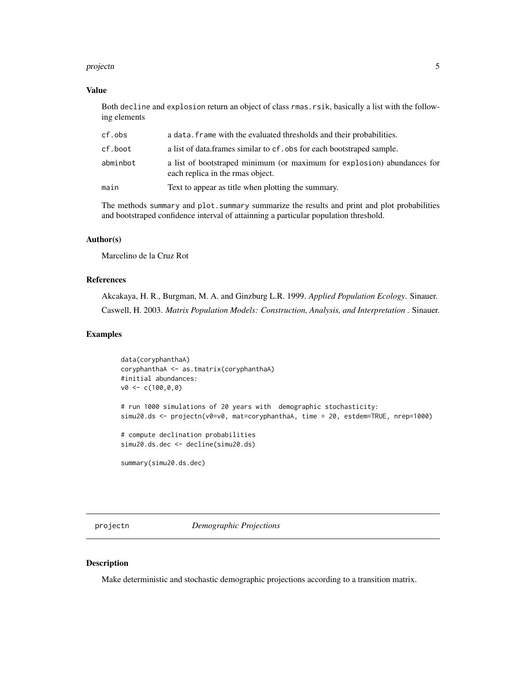#### <span id="page-4-0"></span>projectn 5

## Value

Both decline and explosion return an object of class rmas.rsik, basically a list with the following elements

| cf.obs   | a data. frame with the evaluated thresholds and their probabilities.                                        |
|----------|-------------------------------------------------------------------------------------------------------------|
| cf.boot  | a list of data.frames similar to cf. obs for each bootstraped sample.                                       |
| abminbot | a list of bootstraped minimum (or maximum for explosion) abundances for<br>each replica in the rmas object. |
| main     | Text to appear as title when plotting the summary.                                                          |
|          |                                                                                                             |

The methods summary and plot.summary summarize the results and print and plot probabilities and bootstraped confidence interval of attainning a particular population threshold.

# Author(s)

Marcelino de la Cruz Rot

# References

Akcakaya, H. R., Burgman, M. A. and Ginzburg L.R. 1999. *Applied Population Ecology*. Sinauer. Caswell, H. 2003. *Matrix Population Models: Construction, Analysis, and Interpretation* . Sinauer.

#### Examples

```
data(coryphanthaA)
coryphanthaA <- as.tmatrix(coryphanthaA)
#initial abundances:
v0 < -c(100, 0, 0)# run 1000 simulations of 20 years with demographic stochasticity:
simu20.ds <- projectn(v0=v0, mat=coryphanthaA, time = 20, estdem=TRUE, nrep=1000)
# compute declination probabilities
simu20.ds.dec <- decline(simu20.ds)
```
summary(simu20.ds.dec)

<span id="page-4-1"></span>projectn *Demographic Projections*

# Description

Make deterministic and stochastic demographic projections according to a transition matrix.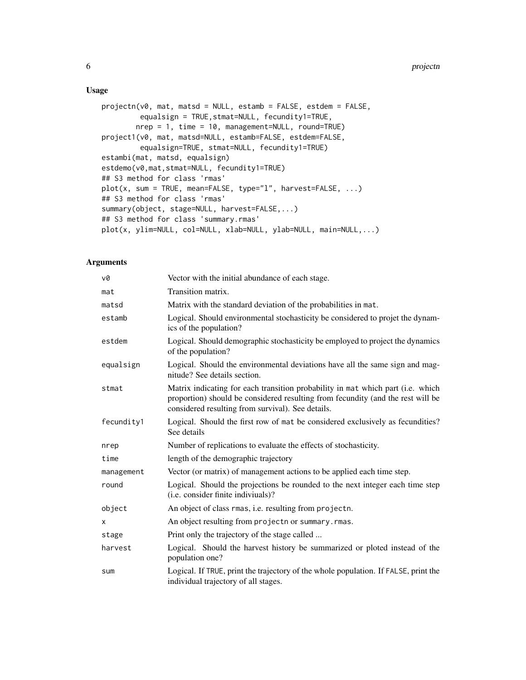# Usage

```
projectn(v0, mat, matsd = NULL, estamb = FALSE, estdem = FALSE,
        equalsign = TRUE,stmat=NULL, fecundity1=TRUE,
        nrep = 1, time = 10, management=NULL, round=TRUE)
project1(v0, mat, matsd=NULL, estamb=FALSE, estdem=FALSE,
        equalsign=TRUE, stmat=NULL, fecundity1=TRUE)
estambi(mat, matsd, equalsign)
estdemo(v0,mat,stmat=NULL, fecundity1=TRUE)
## S3 method for class 'rmas'
plot(x, sum = TRUE, mean=FALSE, type="l", harvest=FALSE, ...)
## S3 method for class 'rmas'
summary(object, stage=NULL, harvest=FALSE,...)
## S3 method for class 'summary.rmas'
plot(x, ylim=NULL, col=NULL, xlab=NULL, ylab=NULL, main=NULL,...)
```
# Arguments

| v0         | Vector with the initial abundance of each stage.                                                                                                                                                                        |
|------------|-------------------------------------------------------------------------------------------------------------------------------------------------------------------------------------------------------------------------|
| mat        | Transition matrix.                                                                                                                                                                                                      |
| matsd      | Matrix with the standard deviation of the probabilities in mat.                                                                                                                                                         |
| estamb     | Logical. Should environmental stochasticity be considered to projet the dynam-<br>ics of the population?                                                                                                                |
| estdem     | Logical. Should demographic stochasticity be employed to project the dynamics<br>of the population?                                                                                                                     |
| equalsign  | Logical. Should the environmental deviations have all the same sign and mag-<br>nitude? See details section.                                                                                                            |
| stmat      | Matrix indicating for each transition probability in mat which part (i.e. which<br>proportion) should be considered resulting from fecundity (and the rest will be<br>considered resulting from survival). See details. |
| fecundity1 | Logical. Should the first row of mat be considered exclusively as fecundities?<br>See details                                                                                                                           |
| nrep       | Number of replications to evaluate the effects of stochasticity.                                                                                                                                                        |
| time       | length of the demographic trajectory                                                                                                                                                                                    |
| management | Vector (or matrix) of management actions to be applied each time step.                                                                                                                                                  |
| round      | Logical. Should the projections be rounded to the next integer each time step<br>(i.e. consider finite indiviuals)?                                                                                                     |
| object     | An object of class rmas, <i>i.e.</i> resulting from projectn.                                                                                                                                                           |
| Χ          | An object resulting from projectn or summary. rmas.                                                                                                                                                                     |
| stage      | Print only the trajectory of the stage called                                                                                                                                                                           |
| harvest    | Logical. Should the harvest history be summarized or ploted instead of the<br>population one?                                                                                                                           |
| sum        | Logical. If TRUE, print the trajectory of the whole population. If FALSE, print the<br>individual trajectory of all stages.                                                                                             |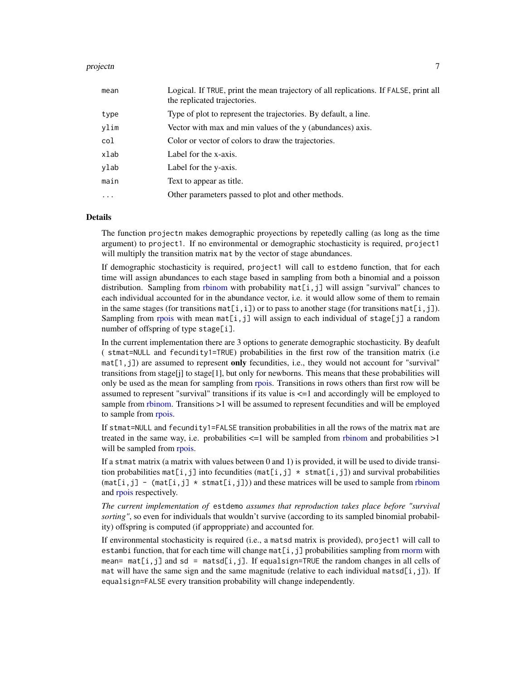#### <span id="page-6-0"></span>projectn**a a change of the contract of the contract of the contract of the contract of the contract of the contract of the contract of the contract of the contract of the contract of the contract of the contract of the con**

| mean | Logical. If TRUE, print the mean trajectory of all replications. If FALSE, print all<br>the replicated trajectories. |
|------|----------------------------------------------------------------------------------------------------------------------|
| type | Type of plot to represent the trajectories. By default, a line.                                                      |
| ylim | Vector with max and min values of the y (abundances) axis.                                                           |
| col  | Color or vector of colors to draw the trajectories.                                                                  |
| xlab | Label for the x-axis.                                                                                                |
| ylab | Label for the y-axis.                                                                                                |
| main | Text to appear as title.                                                                                             |
| .    | Other parameters passed to plot and other methods.                                                                   |

#### Details

The function projectn makes demographic proyections by repetedly calling (as long as the time argument) to project1. If no environmental or demographic stochasticity is required, project1 will multiply the transition matrix mat by the vector of stage abundances.

If demographic stochasticity is required, project1 will call to estdemo function, that for each time will assign abundances to each stage based in sampling from both a binomial and a poisson distribution. Sampling from [rbinom](#page-0-0) with probability  $m\n et[i,j]$  will assign "survival" chances to each individual accounted for in the abundance vector, i.e. it would allow some of them to remain in the same stages (for transitions  $mat[i,i])$  or to pass to another stage (for transitions  $mat[i,j])$ . Sampling from [rpois](#page-0-0) with mean  $mat[i,j]$  will assign to each individual of stage[j] a random number of offspring of type stage[i].

In the current implementation there are 3 options to generate demographic stochasticity. By deafult ( stmat=NULL and fecundity1=TRUE) probabilities in the first row of the transition matrix (i.e  $mat[1,j]$ ) are assumed to represent only fecundities, i.e., they would not account for "survival" transitions from stage[j] to stage[1], but only for newborns. This means that these probabilities will only be used as the mean for sampling from [rpois.](#page-0-0) Transitions in rows others than first row will be assumed to represent "survival" transitions if its value is <=1 and accordingly will be employed to sample from [rbinom.](#page-0-0) Transitions >1 will be assumed to represent fecundities and will be employed to sample from [rpois.](#page-0-0)

If stmat=NULL and fecundity1=FALSE transition probabilities in all the rows of the matrix mat are treated in the same way, i.e. probabilities  $\leq$ =1 will be sampled from [rbinom](#page-0-0) and probabilities  $>1$ will be sampled from [rpois.](#page-0-0)

If a stmat matrix (a matrix with values between 0 and 1) is provided, it will be used to divide transition probabilities mat[i,j] into fecundities (mat[i,j]  $*$  stmat[i,j]) and survival probabilities  $(\text{mat}[i,j] - (\text{mat}[i,j] \times \text{stmt}[i,j]))$  and these matrices will be used to sample from [rbinom](#page-0-0) and [rpois](#page-0-0) respectively.

*The current implementation of* estdemo *assumes that reproduction takes place before "survival sorting"*, so even for individuals that wouldn't survive (according to its sampled binomial probability) offspring is computed (if approppriate) and accounted for.

If environmental stochasticity is required (i.e., a matsd matrix is provided), project1 will call to estambi function, that for each time will change mat  $[i, j]$  probabilities sampling from [rnorm](#page-0-0) with mean=  $\text{mat}[i,j]$  and sd =  $\text{matsd}[i,j]$ . If equalsign=TRUE the random changes in all cells of mat will have the same sign and the same magnitude (relative to each individual matsd $[i,j]$ ). If equalsign=FALSE every transition probability will change independently.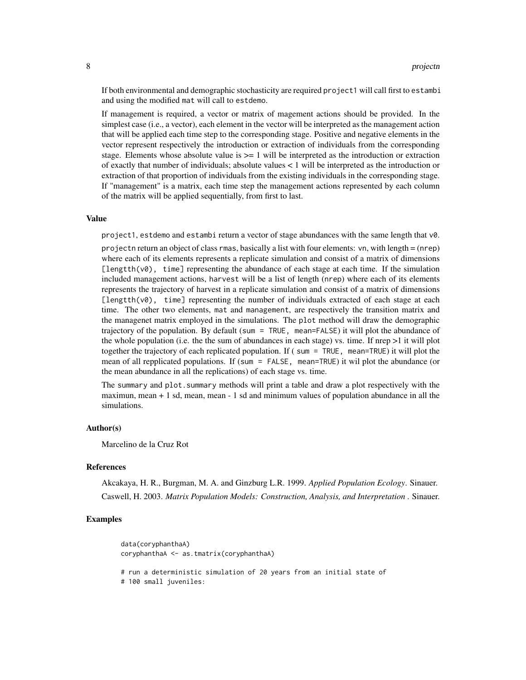If both environmental and demographic stochasticity are required project1 will call first to estambi and using the modified mat will call to estdemo.

If management is required, a vector or matrix of magement actions should be provided. In the simplest case (i.e., a vector), each element in the vector will be interpreted as the management action that will be applied each time step to the corresponding stage. Positive and negative elements in the vector represent respectively the introduction or extraction of individuals from the corresponding stage. Elements whose absolute value is  $>= 1$  will be interpreted as the introduction or extraction of exactly that number of individuals; absolute values < 1 will be interpreted as the introduction or extraction of that proportion of individuals from the existing individuals in the corresponding stage. If "management" is a matrix, each time step the management actions represented by each column of the matrix will be applied sequentially, from first to last.

#### Value

project1, estdemo and estambi return a vector of stage abundances with the same length that v0.

projectn return an object of class rmas, basically a list with four elements: vn, with length = (nrep) where each of its elements represents a replicate simulation and consist of a matrix of dimensions [lengtth( $v$ 0), time] representing the abundance of each stage at each time. If the simulation included management actions, harvest will be a list of length (nrep) where each of its elements represents the trajectory of harvest in a replicate simulation and consist of a matrix of dimensions [lengtth( $v\emptyset$ ), time] representing the number of individuals extracted of each stage at each time. The other two elements, mat and management, are respectively the transition matrix and the managenet matrix employed in the simulations. The plot method will draw the demographic trajectory of the population. By default (sum = TRUE, mean=FALSE) it will plot the abundance of the whole population (i.e. the the sum of abundances in each stage) vs. time. If nrep  $>1$  it will plot together the trajectory of each replicated population. If ( sum = TRUE, mean=TRUE) it will plot the mean of all repplicated populations. If (sum = FALSE, mean=TRUE) it wil plot the abundance (or the mean abundance in all the replications) of each stage vs. time.

The summary and plot, summary methods will print a table and draw a plot respectively with the maximun, mean + 1 sd, mean, mean - 1 sd and minimum values of population abundance in all the simulations.

#### Author(s)

Marcelino de la Cruz Rot

#### References

Akcakaya, H. R., Burgman, M. A. and Ginzburg L.R. 1999. *Applied Population Ecology*. Sinauer. Caswell, H. 2003. *Matrix Population Models: Construction, Analysis, and Interpretation* . Sinauer.

#### Examples

```
data(coryphanthaA)
coryphanthaA <- as.tmatrix(coryphanthaA)
# run a deterministic simulation of 20 years from an initial state of
# 100 small juveniles:
```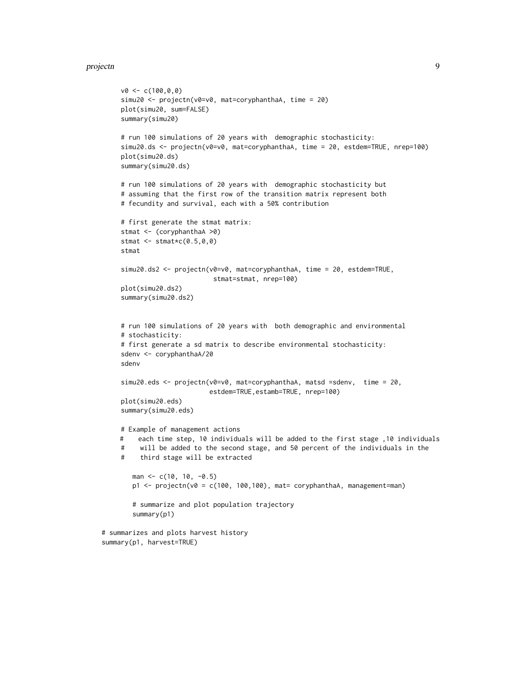#### projectn**om and the contract of the contract of the contract of the contract of the contract of the contract of the contract of the contract of the contract of the contract of the contract of the contract of the contract o**

```
v0 \leq c(100, 0, 0)simu20 <- projectn(v0=v0, mat=coryphanthaA, time = 20)
    plot(simu20, sum=FALSE)
    summary(simu20)
    # run 100 simulations of 20 years with demographic stochasticity:
     simu20.ds <- projectn(v0=v0, mat=coryphanthaA, time = 20, estdem=TRUE, nrep=100)
    plot(simu20.ds)
    summary(simu20.ds)
    # run 100 simulations of 20 years with demographic stochasticity but
    # assuming that the first row of the transition matrix represent both
     # fecundity and survival, each with a 50% contribution
     # first generate the stmat matrix:
    stmat <- (coryphanthaA >0)
    stmat \leq stmat\starc(0.5, 0, 0)stmat
    simu20.ds2 <- projectn(v0=v0, mat=coryphanthaA, time = 20, estdem=TRUE,
                             stmat=stmat, nrep=100)
    plot(simu20.ds2)
    summary(simu20.ds2)
    # run 100 simulations of 20 years with both demographic and environmental
    # stochasticity:
    # first generate a sd matrix to describe environmental stochasticity:
    sdenv <- coryphanthaA/20
    sdenv
    simu20.eds <- projectn(v0=v0, mat=coryphanthaA, matsd =sdenv, time = 20,
                            estdem=TRUE,estamb=TRUE, nrep=100)
    plot(simu20.eds)
    summary(simu20.eds)
    # Example of management actions
    # each time step, 10 individuals will be added to the first stage ,10 individuals
    # will be added to the second stage, and 50 percent of the individuals in the
    # third stage will be extracted
       man <- c(10, 10, -0.5)
       p1 \leq - projectn(v0 = c(100, 100,100), mat= coryphanthaA, management=man)
       # summarize and plot population trajectory
       summary(p1)
# summarizes and plots harvest history
summary(p1, harvest=TRUE)
```